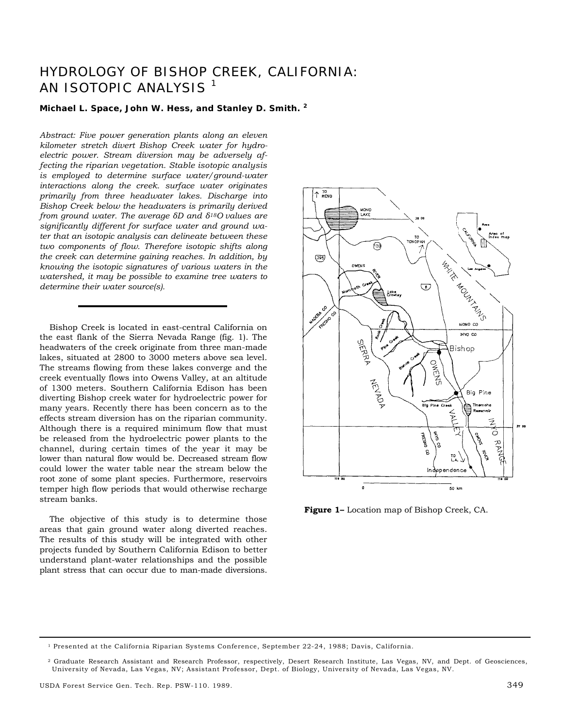# HYDROLOGY OF BISHOP CREEK, CALIFORNIA: AN ISOTOPIC ANALYSIS<sup>1</sup>

#### **Michael L. Space, John W. Hess, and Stanley D. Smith. <sup>2</sup>**

*Abstract: Five power generation plants along an eleven kilometer stretch divert Bishop Creek water for hydroelectric power. Stream diversion may be adversely affecting the riparian vegetation. Stable isotopic analysis is employed to determine surface water/ground-water interactions along the creek. surface water originates primarily from three headwater lakes. Discharge into Bishop Creek below the headwaters is primarily derived from ground water. The average δD and δ18O values are significantly different for surface water and ground water that an isotopic analysis can delineate between these two components of flow. Therefore isotopic shifts along the creek can determine gaining reaches. In addition, by knowing the isotopic signatures of various waters in the watershed, it may be possible to examine tree waters to determine their water source(s).* 

Bishop Creek is located in east-central California on the east flank of the Sierra Nevada Range (fig. 1). The headwaters of the creek originate from three man-made lakes, situated at 2800 to 3000 meters above sea level. The streams flowing from these lakes converge and the creek eventually flows into Owens Valley, at an altitude of 1300 meters. Southern California Edison has been diverting Bishop creek water for hydroelectric power for many years. Recently there has been concern as to the effects stream diversion has on the riparian community. Although there is a required minimum flow that must be released from the hydroelectric power plants to the channel, during certain times of the year it may be lower than natural flow would be. Decreased stream flow could lower the water table near the stream below the root zone of some plant species. Furthermore, reservoirs temper high flow periods that would otherwise recharge stream banks.

The objective of this study is to determine those areas that gain ground water along diverted reaches. The results of this study will be integrated with other projects funded by Southern California Edison to better understand plant-water relationships and the possible plant stress that can occur due to man-made diversions.



**Figure 1–** Location map of Bishop Creek, CA.

<sup>1</sup> Presented at the California Riparian Systems Conference, September 22-24, 1988; Davis, California.

<sup>2</sup> Graduate Research Assistant and Research Professor, respectively, Desert Research Institute, Las Vegas, NV, and Dept. of Geosciences, University of Nevada, Las Vegas, NV; Assistant Professor, Dept. of Biology, University of Nevada, Las Vegas, NV.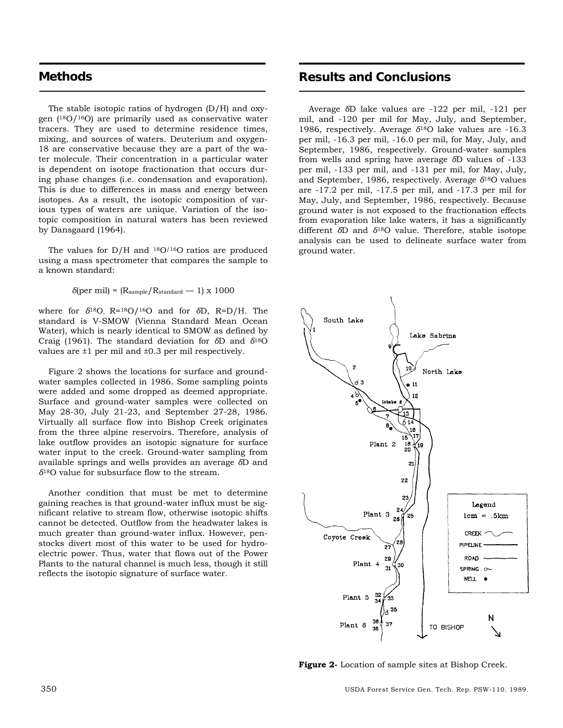### **Methods**

The stable isotopic ratios of hydrogen (D/H) and oxygen (18O/16O) are primarily used as conservative water tracers. They are used to determine residence times, mixing, and sources of waters. Deuterium and oxygen-18 are conservative because they are a part of the water molecule. Their concentration in a particular water is dependent on isotope fractionation that occurs during phase changes (i.e. condensation and evaporation). This is due to differences in mass and energy between isotopes. As a result, the isotopic composition of various types of waters are unique. Variation of the isotopic composition in natural waters has been reviewed by Dansgaard (1964).

The values for  $D/H$  and  $18O/16O$  ratios are produced using a mass spectrometer that compares the sample to a known standard:

 $\delta$ (per mil) = (R<sub>sample</sub>/R<sub>standard</sub> — 1) x 1000

where for *δ*18O, R=18O/16O and for *δ*D, R=D/H. The standard is V-SMOW (Vienna Standard Mean Ocean Water), which is nearly identical to SMOW as defined by Craig (1961). The standard deviation for *δ*D and *δ*18O values are ±1 per mil and ±0.3 per mil respectively.

Figure 2 shows the locations for surface and groundwater samples collected in 1986. Some sampling points were added and some dropped as deemed appropriate. Surface and ground-water samples were collected on May 28-30, July 21-23, and September 27-28, 1986. Virtually all surface flow into Bishop Creek originates from the three alpine reservoirs. Therefore, analysis of lake outflow provides an isotopic signature for surface water input to the creek. Ground-water sampling from available springs and wells provides an average *δ*D and *δ*18O value for subsurface flow to the stream.

Another condition that must be met to determine gaining reaches is that ground-water influx must be significant relative to stream flow, otherwise isotopic shifts cannot be detected. Outflow from the headwater lakes is much greater than ground-water influx. However, penstocks divert most of this water to be used for hydroelectric power. Thus, water that flows out of the Power Plants to the natural channel is much less, though it still reflects the isotopic signature of surface water.

## **Results and Conclusions**

Average *δ*D lake values are -122 per mil, -121 per mil, and -120 per mil for May, July, and September, 1986, respectively. Average *δ*18O lake values are -16.3 per mil, -16.3 per mil, -16.0 per mil, for May, July, and September, 1986, respectively. Ground-water samples from wells and spring have average *δ*D values of -133 per mil, -133 per mil, and -131 per mil, for May, July, and September, 1986, respectively. Average *δ*18O values are -17.2 per mil, -17.5 per mil, and -17.3 per mil for May, July, and September, 1986, respectively. Because ground water is not exposed to the fractionation effects from evaporation like lake waters, it has a significantly different *δ*D and *δ*18O value. Therefore, stable isotope analysis can be used to delineate surface water from ground water.



**Figure 2-** Location of sample sites at Bishop Creek.